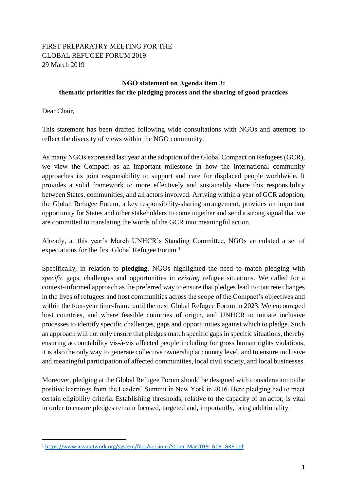## FIRST PREPARATRY MEETING FOR THE GLOBAL REFUGEE FORUM 2019 29 March 2019

## **NGO statement on Agenda item 3: thematic priorities for the pledging process and the sharing of good practices**

Dear Chair,

l

This statement has been drafted following wide consultations with NGOs and attempts to reflect the diversity of views within the NGO community.

As many NGOs expressed last year at the adoption of the Global Compact on Refugees (GCR), we view the Compact as an important milestone in how the international community approaches its joint responsibility to support and care for displaced people worldwide. It provides a solid framework to more effectively and sustainably share this responsibility between States, communities, and all actors involved. Arriving within a year of GCR adoption, the Global Refugee Forum, a key responsibility-sharing arrangement, provides an important opportunity for States and other stakeholders to come together and send a strong signal that we are committed to translating the words of the GCR into meaningful action.

Already, at this year's March UNHCR's Standing Committee, NGOs articulated a set of expectations for the first Global Refugee Forum.<sup>1</sup>

Specifically, in relation to **pledging**, NGOs highlighted the need to match pledging with *specific* gaps, challenges and opportunities in *existing* refugee situations. We called for a context-informed approach as the preferred way to ensure that pledges lead to concrete changes in the lives of refugees and host communities across the scope of the Compact's objectives and within the four-year time-frame until the next Global Refugee Forum in 2023. We encouraged host countries, and where feasible countries of origin, and UNHCR to initiate inclusive processes to identify specific challenges, gaps and opportunities against which to pledge. Such an approach will not only ensure that pledges match specific gaps in specific situations, thereby ensuring accountability vis-à-vis affected people including for gross human rights violations, it is also the only way to generate collective ownership at country level, and to ensure inclusive and meaningful participation of affected communities, local civil society, and local businesses.

Moreover, pledging at the Global Refugee Forum should be designed with consideration to the positive learnings from the Leaders' Summit in New York in 2016. Here pledging had to meet certain eligibility criteria. Establishing thresholds, relative to the capacity of an actor, is vital in order to ensure pledges remain focused, targeted and, importantly, bring additionality.

<sup>1</sup> [https://www.icvanetwork.org/system/files/versions/SCom\\_Mar2019\\_GCR\\_GRF.pdf](https://www.icvanetwork.org/system/files/versions/SCom_Mar2019_GCR_GRF.pdf)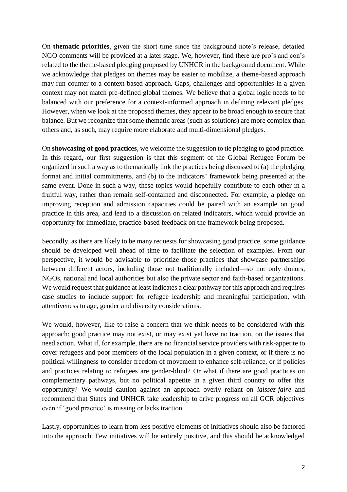On **thematic priorities**, given the short time since the background note's release, detailed NGO comments will be provided at a later stage. We, however, find there are pro's and con's related to the theme-based pledging proposed by UNHCR in the background document. While we acknowledge that pledges on themes may be easier to mobilize, a theme-based approach may run counter to a context-based approach. Gaps, challenges and opportunities in a given context may not match pre-defined global themes. We believe that a global logic needs to be balanced with our preference for a context-informed approach in defining relevant pledges. However, when we look at the proposed themes, they appear to be broad enough to secure that balance. But we recognize that some thematic areas (such as solutions) are more complex than others and, as such, may require more elaborate and multi-dimensional pledges.

On **showcasing of good practices**, we welcome the suggestion to tie pledging to good practice. In this regard, our first suggestion is that this segment of the Global Refugee Forum be organized in such a way as to thematically link the practices being discussed to (a) the pledging format and initial commitments, and (b) to the indicators' framework being presented at the same event. Done in such a way, these topics would hopefully contribute to each other in a fruitful way, rather than remain self-contained and disconnected. For example, a pledge on improving reception and admission capacities could be paired with an example on good practice in this area, and lead to a discussion on related indicators, which would provide an opportunity for immediate, practice-based feedback on the framework being proposed.

Secondly, as there are likely to be many requests for showcasing good practice, some guidance should be developed well ahead of time to facilitate the selection of examples. From our perspective, it would be advisable to prioritize those practices that showcase partnerships between different actors, including those not traditionally included—so not only donors, NGOs, national and local authorities but also the private sector and faith-based organizations. We would request that guidance at least indicates a clear pathway for this approach and requires case studies to include support for refugee leadership and meaningful participation, with attentiveness to age, gender and diversity considerations.

We would, however, like to raise a concern that we think needs to be considered with this approach: good practice may not exist, or may exist yet have no traction, on the issues that need action. What if, for example, there are no financial service providers with risk-appetite to cover refugees and poor members of the local population in a given context, or if there is no political willingness to consider freedom of movement to enhance self-reliance, or if policies and practices relating to refugees are gender-blind? Or what if there are good practices on complementary pathways, but no political appetite in a given third country to offer this opportunity? We would caution against an approach overly reliant on *laissez-faire* and recommend that States and UNHCR take leadership to drive progress on all GCR objectives even if 'good practice' is missing or lacks traction.

Lastly, opportunities to learn from less positive elements of initiatives should also be factored into the approach. Few initiatives will be entirely positive, and this should be acknowledged